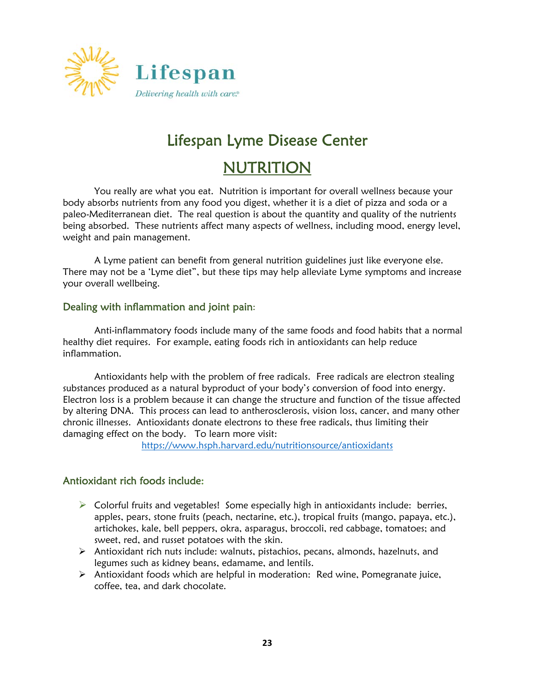

# Lifespan Lyme Disease Center

# **NUTRITION**

You really are what you eat. Nutrition is important for overall wellness because your body absorbs nutrients from any food you digest, whether it is a diet of pizza and soda or a paleo-Mediterranean diet. The real question is about the quantity and quality of the nutrients being absorbed. These nutrients affect many aspects of wellness, including mood, energy level, weight and pain management.

 A Lyme patient can benefit from general nutrition guidelines just like everyone else. There may not be a 'Lyme diet", but these tips may help alleviate Lyme symptoms and increase your overall wellbeing.

#### Dealing with inflammation and joint pain:

 Anti-inflammatory foods include many of the same foods and food habits that a normal healthy diet requires. For example, eating foods rich in antioxidants can help reduce inflammation.

 Antioxidants help with the problem of free radicals. Free radicals are electron stealing substances produced as a natural byproduct of your body's conversion of food into energy. Electron loss is a problem because it can change the structure and function of the tissue affected by altering DNA. This process can lead to antherosclerosis, vision loss, cancer, and many other chronic illnesses. Antioxidants donate electrons to these free radicals, thus limiting their damaging effect on the body. To learn more visit:

https://www.hsph.harvard.edu/nutritionsource/antioxidants

#### Antioxidant rich foods include:

- $\triangleright$  Colorful fruits and vegetables! Some especially high in antioxidants include: berries, apples, pears, stone fruits (peach, nectarine, etc.), tropical fruits (mango, papaya, etc.), artichokes, kale, bell peppers, okra, asparagus, broccoli, red cabbage, tomatoes; and sweet, red, and russet potatoes with the skin.
- Antioxidant rich nuts include: walnuts, pistachios, pecans, almonds, hazelnuts, and legumes such as kidney beans, edamame, and lentils.
- $\triangleright$  Antioxidant foods which are helpful in moderation: Red wine, Pomegranate juice, coffee, tea, and dark chocolate.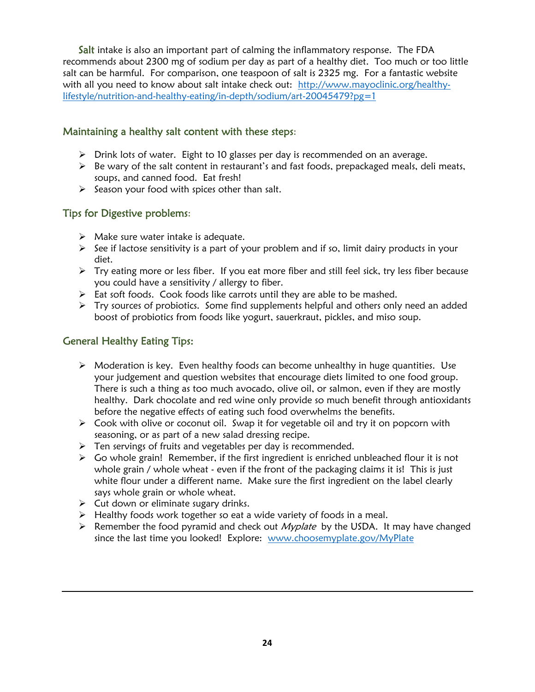Salt intake is also an important part of calming the inflammatory response. The FDA recommends about 2300 mg of sodium per day as part of a healthy diet. Too much or too little salt can be harmful. For comparison, one teaspoon of salt is 2325 mg. For a fantastic website with all you need to know about salt intake check out: http://www.mayoclinic.org/healthylifestyle/nutrition-and-healthy-eating/in-depth/sodium/art-20045479?pg=1

#### Maintaining a healthy salt content with these steps:

- $\triangleright$  Drink lots of water. Eight to 10 glasses per day is recommended on an average.
- $\triangleright$  Be wary of the salt content in restaurant's and fast foods, prepackaged meals, deli meats, soups, and canned food. Eat fresh!
- $\triangleright$  Season your food with spices other than salt.

### Tips for Digestive problems:

- $\triangleright$  Make sure water intake is adequate.
- $\triangleright$  See if lactose sensitivity is a part of your problem and if so, limit dairy products in your diet.
- $\triangleright$  Try eating more or less fiber. If you eat more fiber and still feel sick, try less fiber because you could have a sensitivity / allergy to fiber.
- $\triangleright$  Eat soft foods. Cook foods like carrots until they are able to be mashed.
- $\triangleright$  Try sources of probiotics. Some find supplements helpful and others only need an added boost of probiotics from foods like yogurt, sauerkraut, pickles, and miso soup.

#### General Healthy Eating Tips:

- $\triangleright$  Moderation is key. Even healthy foods can become unhealthy in huge quantities. Use your judgement and question websites that encourage diets limited to one food group. There is such a thing as too much avocado, olive oil, or salmon, even if they are mostly healthy. Dark chocolate and red wine only provide so much benefit through antioxidants before the negative effects of eating such food overwhelms the benefits.
- $\triangleright$  Cook with olive or coconut oil. Swap it for vegetable oil and try it on popcorn with seasoning, or as part of a new salad dressing recipe.
- $\triangleright$  Ten servings of fruits and vegetables per day is recommended.
- $\triangleright$  Go whole grain! Remember, if the first ingredient is enriched unbleached flour it is not whole grain / whole wheat - even if the front of the packaging claims it is! This is just white flour under a different name. Make sure the first ingredient on the label clearly says whole grain or whole wheat.
- $\triangleright$  Cut down or eliminate sugary drinks.
- $\triangleright$  Healthy foods work together so eat a wide variety of foods in a meal.
- EXP Remember the food pyramid and check out *Myplate* by the USDA. It may have changed since the last time you looked! Explore: www.choosemyplate.gov/MyPlate